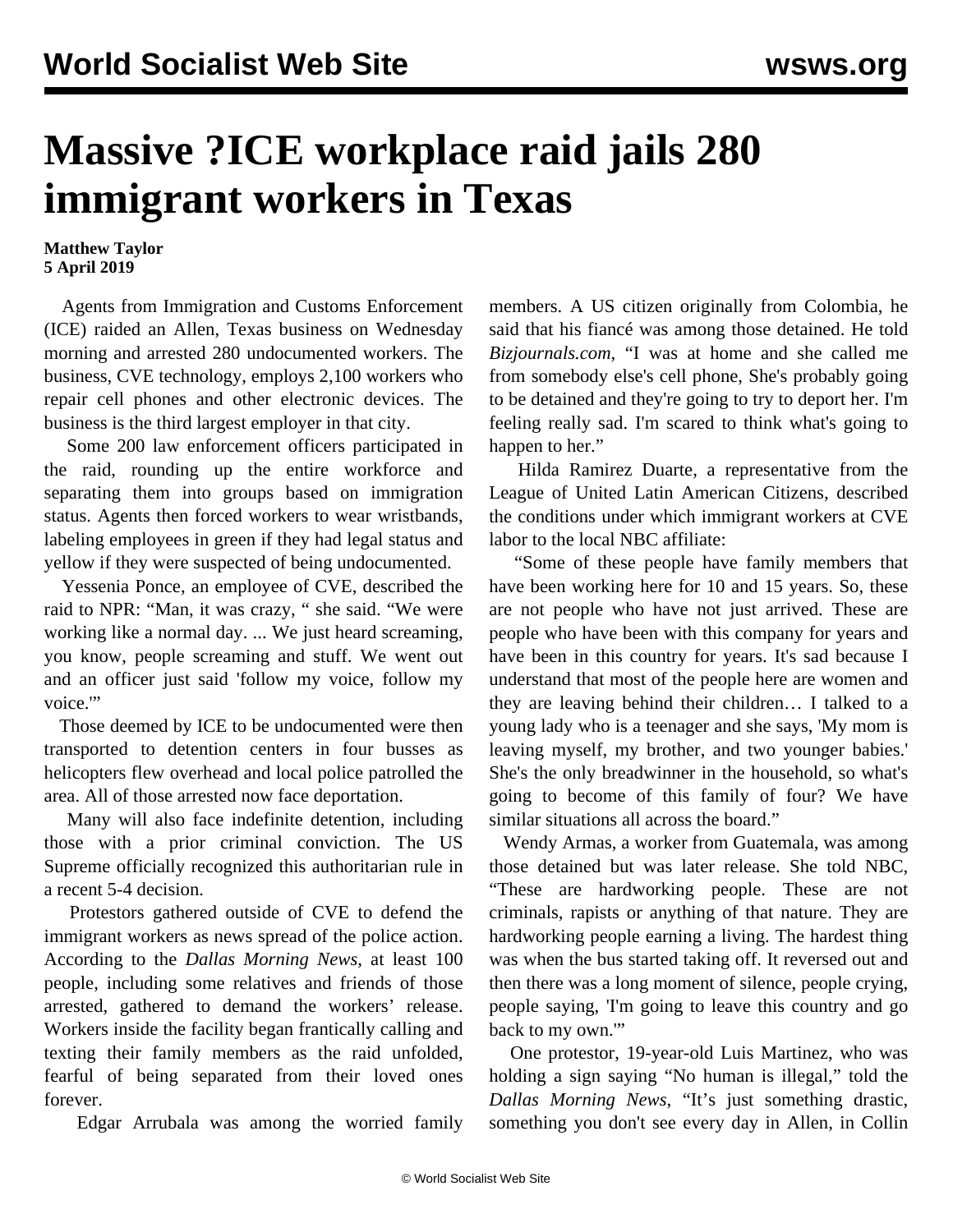## **Massive ?ICE workplace raid jails 280 immigrant workers in Texas**

## **Matthew Taylor 5 April 2019**

 Agents from Immigration and Customs Enforcement (ICE) raided an Allen, Texas business on Wednesday morning and arrested 280 undocumented workers. The business, CVE technology, employs 2,100 workers who repair cell phones and other electronic devices. The business is the third largest employer in that city.

 Some 200 law enforcement officers participated in the raid, rounding up the entire workforce and separating them into groups based on immigration status. Agents then forced workers to wear wristbands, labeling employees in green if they had legal status and yellow if they were suspected of being undocumented.

 Yessenia Ponce, an employee of CVE, described the raid to NPR: "Man, it was crazy, " she said. "We were working like a normal day. ... We just heard screaming, you know, people screaming and stuff. We went out and an officer just said 'follow my voice, follow my voice."

 Those deemed by ICE to be undocumented were then transported to detention centers in four busses as helicopters flew overhead and local police patrolled the area. All of those arrested now face deportation.

 Many will also face indefinite detention, including those with a prior criminal conviction. The US Supreme officially recognized this authoritarian rule in a recent 5-4 decision.

 Protestors gathered outside of CVE to defend the immigrant workers as news spread of the police action. According to the *Dallas Morning News*, at least 100 people, including some relatives and friends of those arrested, gathered to demand the workers' release. Workers inside the facility began frantically calling and texting their family members as the raid unfolded, fearful of being separated from their loved ones forever.

Edgar Arrubala was among the worried family

members. A US citizen originally from Colombia, he said that his fiancé was among those detained. He told *Bizjournals.com*, "I was at home and she called me from somebody else's cell phone, She's probably going to be detained and they're going to try to deport her. I'm feeling really sad. I'm scared to think what's going to happen to her."

 Hilda Ramirez Duarte, a representative from the League of United Latin American Citizens, described the conditions under which immigrant workers at CVE labor to the local NBC affiliate:

 "Some of these people have family members that have been working here for 10 and 15 years. So, these are not people who have not just arrived. These are people who have been with this company for years and have been in this country for years. It's sad because I understand that most of the people here are women and they are leaving behind their children… I talked to a young lady who is a teenager and she says, 'My mom is leaving myself, my brother, and two younger babies.' She's the only breadwinner in the household, so what's going to become of this family of four? We have similar situations all across the board."

 Wendy Armas, a worker from Guatemala, was among those detained but was later release. She told NBC, "These are hardworking people. These are not criminals, rapists or anything of that nature. They are hardworking people earning a living. The hardest thing was when the bus started taking off. It reversed out and then there was a long moment of silence, people crying, people saying, 'I'm going to leave this country and go back to my own."

 One protestor, 19-year-old Luis Martinez, who was holding a sign saying "No human is illegal," told the *Dallas Morning News*, "It's just something drastic, something you don't see every day in Allen, in Collin